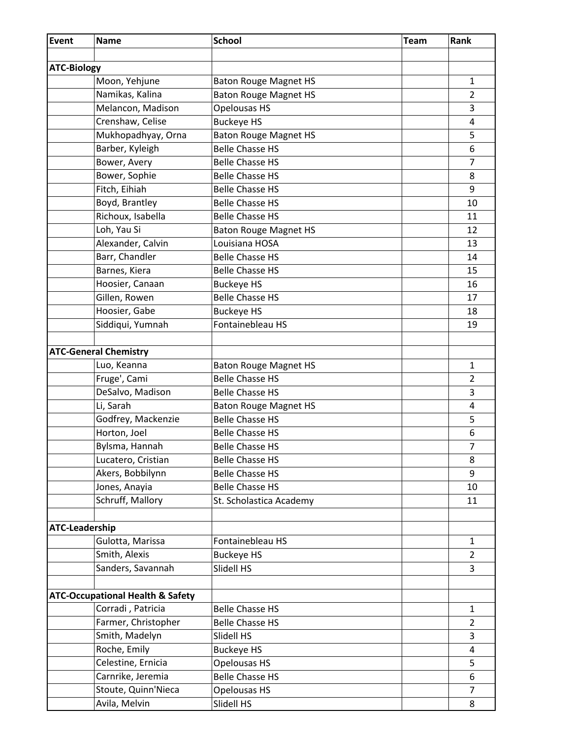| Event                 | <b>Name</b>                                 | <b>School</b>                | <b>Team</b> | Rank           |
|-----------------------|---------------------------------------------|------------------------------|-------------|----------------|
|                       |                                             |                              |             |                |
| <b>ATC-Biology</b>    |                                             |                              |             |                |
|                       | Moon, Yehjune                               | <b>Baton Rouge Magnet HS</b> |             | $\mathbf{1}$   |
|                       | Namikas, Kalina                             | <b>Baton Rouge Magnet HS</b> |             | 2              |
|                       | Melancon, Madison                           | Opelousas HS                 |             | 3              |
|                       | Crenshaw, Celise                            | <b>Buckeye HS</b>            |             | 4              |
|                       | Mukhopadhyay, Orna                          | <b>Baton Rouge Magnet HS</b> |             | 5              |
|                       | Barber, Kyleigh                             | <b>Belle Chasse HS</b>       |             | 6              |
|                       | Bower, Avery                                | <b>Belle Chasse HS</b>       |             | 7              |
|                       | Bower, Sophie                               | <b>Belle Chasse HS</b>       |             | 8              |
|                       | Fitch, Eihiah                               | <b>Belle Chasse HS</b>       |             | 9              |
|                       | Boyd, Brantley                              | <b>Belle Chasse HS</b>       |             | 10             |
|                       | Richoux, Isabella                           | <b>Belle Chasse HS</b>       |             | 11             |
|                       | Loh, Yau Si                                 | <b>Baton Rouge Magnet HS</b> |             | 12             |
|                       | Alexander, Calvin                           | Louisiana HOSA               |             | 13             |
|                       | Barr, Chandler                              | <b>Belle Chasse HS</b>       |             | 14             |
|                       | Barnes, Kiera                               | <b>Belle Chasse HS</b>       |             | 15             |
|                       | Hoosier, Canaan                             | <b>Buckeye HS</b>            |             | 16             |
|                       | Gillen, Rowen                               | <b>Belle Chasse HS</b>       |             | 17             |
|                       | Hoosier, Gabe                               | <b>Buckeye HS</b>            |             | 18             |
|                       | Siddiqui, Yumnah                            | Fontainebleau HS             |             | 19             |
|                       |                                             |                              |             |                |
|                       | <b>ATC-General Chemistry</b>                |                              |             |                |
|                       | Luo, Keanna                                 | <b>Baton Rouge Magnet HS</b> |             | $\mathbf{1}$   |
|                       | Fruge', Cami                                | <b>Belle Chasse HS</b>       |             | 2              |
|                       | DeSalvo, Madison                            | <b>Belle Chasse HS</b>       |             | 3              |
|                       | Li, Sarah                                   | <b>Baton Rouge Magnet HS</b> |             | 4              |
|                       | Godfrey, Mackenzie                          | <b>Belle Chasse HS</b>       |             | 5              |
|                       | Horton, Joel                                | <b>Belle Chasse HS</b>       |             | 6              |
|                       | Bylsma, Hannah                              | <b>Belle Chasse HS</b>       |             | 7              |
|                       | Lucatero, Cristian                          | <b>Belle Chasse HS</b>       |             | 8              |
|                       | Akers, Bobbilynn                            | <b>Belle Chasse HS</b>       |             | 9              |
|                       | Jones, Anayia                               | <b>Belle Chasse HS</b>       |             | 10             |
|                       | Schruff, Mallory                            | St. Scholastica Academy      |             | 11             |
|                       |                                             |                              |             |                |
| <b>ATC-Leadership</b> |                                             |                              |             |                |
|                       | Gulotta, Marissa                            | Fontainebleau HS             |             | $\mathbf{1}$   |
|                       | Smith, Alexis                               | <b>Buckeye HS</b>            |             | $\overline{2}$ |
|                       | Sanders, Savannah                           | Slidell HS                   |             | 3              |
|                       |                                             |                              |             |                |
|                       | <b>ATC-Occupational Health &amp; Safety</b> |                              |             |                |
|                       | Corradi, Patricia                           | <b>Belle Chasse HS</b>       |             | $\mathbf{1}$   |
|                       | Farmer, Christopher                         | <b>Belle Chasse HS</b>       |             | $\overline{2}$ |
|                       | Smith, Madelyn                              | Slidell HS                   |             | 3              |
|                       | Roche, Emily                                | <b>Buckeye HS</b>            |             | 4              |
|                       | Celestine, Ernicia                          | Opelousas HS                 |             | 5              |
|                       | Carnrike, Jeremia                           | <b>Belle Chasse HS</b>       |             | 6              |
|                       | Stoute, Quinn'Nieca                         | <b>Opelousas HS</b>          |             | $\overline{7}$ |
|                       | Avila, Melvin                               | Slidell HS                   |             | 8              |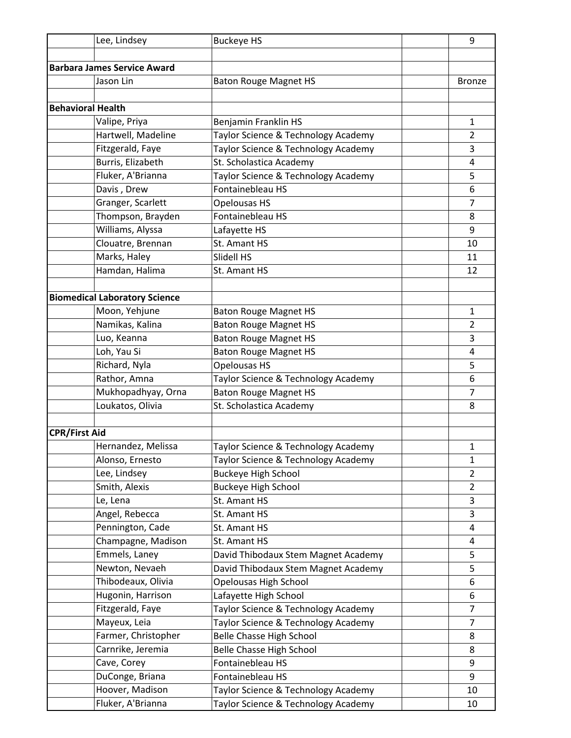| Lee, Lindsey                         | <b>Buckeye HS</b>                   | 9              |
|--------------------------------------|-------------------------------------|----------------|
|                                      |                                     |                |
| <b>Barbara James Service Award</b>   |                                     |                |
| Jason Lin                            | <b>Baton Rouge Magnet HS</b>        | <b>Bronze</b>  |
|                                      |                                     |                |
| <b>Behavioral Health</b>             |                                     |                |
| Valipe, Priya                        | Benjamin Franklin HS                | $\mathbf{1}$   |
| Hartwell, Madeline                   | Taylor Science & Technology Academy | $\overline{2}$ |
| Fitzgerald, Faye                     | Taylor Science & Technology Academy | 3              |
| Burris, Elizabeth                    | St. Scholastica Academy             | 4              |
| Fluker, A'Brianna                    | Taylor Science & Technology Academy | 5              |
| Davis, Drew                          | Fontainebleau HS                    | 6              |
| Granger, Scarlett                    | Opelousas HS                        | $\overline{7}$ |
| Thompson, Brayden                    | Fontainebleau HS                    | 8              |
| Williams, Alyssa                     | Lafayette HS                        | 9              |
| Clouatre, Brennan                    | St. Amant HS                        | 10             |
| Marks, Haley                         | Slidell HS                          | 11             |
| Hamdan, Halima                       | St. Amant HS                        | 12             |
|                                      |                                     |                |
| <b>Biomedical Laboratory Science</b> |                                     |                |
| Moon, Yehjune                        | <b>Baton Rouge Magnet HS</b>        | $\mathbf{1}$   |
| Namikas, Kalina                      | <b>Baton Rouge Magnet HS</b>        | $\overline{2}$ |
| Luo, Keanna                          | <b>Baton Rouge Magnet HS</b>        | 3              |
| Loh, Yau Si                          | <b>Baton Rouge Magnet HS</b>        | 4              |
| Richard, Nyla                        | Opelousas HS                        | 5              |
| Rathor, Amna                         | Taylor Science & Technology Academy | 6              |
| Mukhopadhyay, Orna                   | <b>Baton Rouge Magnet HS</b>        | $\overline{7}$ |
| Loukatos, Olivia                     | St. Scholastica Academy             | 8              |
|                                      |                                     |                |
| <b>CPR/First Aid</b>                 |                                     |                |
| Hernandez, Melissa                   | Taylor Science & Technology Academy | $\mathbf{1}$   |
| Alonso, Ernesto                      | Taylor Science & Technology Academy | $\mathbf{1}$   |
| Lee, Lindsey                         | <b>Buckeye High School</b>          | $\overline{2}$ |
| Smith, Alexis                        | <b>Buckeye High School</b>          | $\overline{2}$ |
| Le, Lena                             | St. Amant HS                        | 3              |
| Angel, Rebecca                       | St. Amant HS                        | 3              |
| Pennington, Cade                     | St. Amant HS                        | 4              |
| Champagne, Madison                   | St. Amant HS                        | 4              |
| Emmels, Laney                        | David Thibodaux Stem Magnet Academy | 5              |
| Newton, Nevaeh                       | David Thibodaux Stem Magnet Academy | 5              |
| Thibodeaux, Olivia                   | Opelousas High School               | 6              |
| Hugonin, Harrison                    | Lafayette High School               | 6              |
| Fitzgerald, Faye                     | Taylor Science & Technology Academy | $\overline{7}$ |
| Mayeux, Leia                         | Taylor Science & Technology Academy | $\overline{7}$ |
| Farmer, Christopher                  | <b>Belle Chasse High School</b>     | 8              |
| Carnrike, Jeremia                    | <b>Belle Chasse High School</b>     | 8              |
| Cave, Corey                          | Fontainebleau HS                    | 9              |
| DuConge, Briana                      | Fontainebleau HS                    | 9              |
| Hoover, Madison                      | Taylor Science & Technology Academy | 10             |
| Fluker, A'Brianna                    | Taylor Science & Technology Academy | 10             |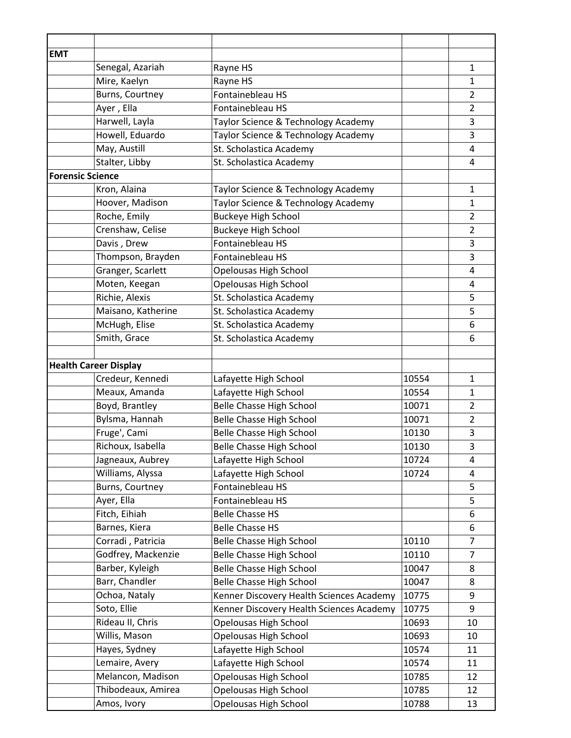| <b>EMT</b><br>Senegal, Azariah<br>Rayne HS<br>$\mathbf{1}$<br>Mire, Kaelyn<br>Rayne HS<br>$\mathbf{1}$<br>Burns, Courtney<br>Fontainebleau HS<br>$\overline{2}$<br>Ayer, Ella<br>Fontainebleau HS<br>$\overline{2}$<br>Harwell, Layla<br>3<br>Taylor Science & Technology Academy<br>Howell, Eduardo<br>$\mathsf 3$<br>Taylor Science & Technology Academy<br>May, Austill<br>St. Scholastica Academy<br>$\overline{4}$<br>Stalter, Libby<br>St. Scholastica Academy<br>$\overline{4}$<br><b>Forensic Science</b><br>Kron, Alaina<br>Taylor Science & Technology Academy<br>$\mathbf{1}$<br>Hoover, Madison<br>Taylor Science & Technology Academy<br>$\mathbf{1}$<br>Roche, Emily<br><b>Buckeye High School</b><br>$\overline{2}$<br>Crenshaw, Celise<br><b>Buckeye High School</b><br>$\overline{2}$<br>Davis, Drew<br>Fontainebleau HS<br>3<br>Thompson, Brayden<br>$\mathsf 3$<br>Fontainebleau HS<br>Granger, Scarlett<br>Opelousas High School<br>4<br>Moten, Keegan<br>Opelousas High School<br>4<br>Richie, Alexis<br>St. Scholastica Academy<br>5<br>Maisano, Katherine<br>5<br>St. Scholastica Academy<br>McHugh, Elise<br>St. Scholastica Academy<br>6<br>Smith, Grace<br>St. Scholastica Academy<br>6<br><b>Health Career Display</b><br>Credeur, Kennedi<br>Lafayette High School<br>10554<br>$\mathbf{1}$<br>Meaux, Amanda<br>Lafayette High School<br>10554<br>$\mathbf{1}$<br>Boyd, Brantley<br><b>Belle Chasse High School</b><br>$\overline{2}$<br>10071<br>Bylsma, Hannah<br><b>Belle Chasse High School</b><br>$\overline{2}$<br>10071<br>Fruge', Cami<br><b>Belle Chasse High School</b><br>10130<br>3<br>Richoux, Isabella<br><b>Belle Chasse High School</b><br>3<br>10130<br>Jagneaux, Aubrey<br>Lafayette High School<br>10724<br>4<br>Williams, Alyssa<br>Lafayette High School<br>10724<br>4<br>Fontainebleau HS<br>Burns, Courtney<br>5<br>Ayer, Ella<br>Fontainebleau HS<br>5<br>Fitch, Eihiah<br><b>Belle Chasse HS</b><br>6<br>Barnes, Kiera<br><b>Belle Chasse HS</b><br>6<br>Corradi, Patricia<br><b>Belle Chasse High School</b><br>10110<br>$\overline{7}$<br>Godfrey, Mackenzie<br>$\overline{7}$<br><b>Belle Chasse High School</b><br>10110<br>Barber, Kyleigh<br><b>Belle Chasse High School</b><br>10047<br>8<br>Barr, Chandler<br><b>Belle Chasse High School</b><br>10047<br>8<br>Ochoa, Nataly<br>Kenner Discovery Health Sciences Academy<br>10775<br>9<br>Soto, Ellie<br>Kenner Discovery Health Sciences Academy<br>9<br>10775<br>Rideau II, Chris<br>Opelousas High School<br>10693<br>10<br>Willis, Mason<br>Opelousas High School<br>10693<br>10<br>Hayes, Sydney<br>Lafayette High School<br>10574<br>11<br>Lemaire, Avery<br>Lafayette High School<br>10574<br>11<br>Melancon, Madison<br>Opelousas High School<br>10785<br>12<br>Thibodeaux, Amirea<br>Opelousas High School<br>10785<br>12 |             |                       |       |    |
|-------------------------------------------------------------------------------------------------------------------------------------------------------------------------------------------------------------------------------------------------------------------------------------------------------------------------------------------------------------------------------------------------------------------------------------------------------------------------------------------------------------------------------------------------------------------------------------------------------------------------------------------------------------------------------------------------------------------------------------------------------------------------------------------------------------------------------------------------------------------------------------------------------------------------------------------------------------------------------------------------------------------------------------------------------------------------------------------------------------------------------------------------------------------------------------------------------------------------------------------------------------------------------------------------------------------------------------------------------------------------------------------------------------------------------------------------------------------------------------------------------------------------------------------------------------------------------------------------------------------------------------------------------------------------------------------------------------------------------------------------------------------------------------------------------------------------------------------------------------------------------------------------------------------------------------------------------------------------------------------------------------------------------------------------------------------------------------------------------------------------------------------------------------------------------------------------------------------------------------------------------------------------------------------------------------------------------------------------------------------------------------------------------------------------------------------------------------------------------------------------------------------------------------------------------------------------------------------------------------------------------------------------------------------------------------------------------------------------------------------------------------------------------------------------------------------------------------------------|-------------|-----------------------|-------|----|
|                                                                                                                                                                                                                                                                                                                                                                                                                                                                                                                                                                                                                                                                                                                                                                                                                                                                                                                                                                                                                                                                                                                                                                                                                                                                                                                                                                                                                                                                                                                                                                                                                                                                                                                                                                                                                                                                                                                                                                                                                                                                                                                                                                                                                                                                                                                                                                                                                                                                                                                                                                                                                                                                                                                                                                                                                                                 |             |                       |       |    |
|                                                                                                                                                                                                                                                                                                                                                                                                                                                                                                                                                                                                                                                                                                                                                                                                                                                                                                                                                                                                                                                                                                                                                                                                                                                                                                                                                                                                                                                                                                                                                                                                                                                                                                                                                                                                                                                                                                                                                                                                                                                                                                                                                                                                                                                                                                                                                                                                                                                                                                                                                                                                                                                                                                                                                                                                                                                 |             |                       |       |    |
|                                                                                                                                                                                                                                                                                                                                                                                                                                                                                                                                                                                                                                                                                                                                                                                                                                                                                                                                                                                                                                                                                                                                                                                                                                                                                                                                                                                                                                                                                                                                                                                                                                                                                                                                                                                                                                                                                                                                                                                                                                                                                                                                                                                                                                                                                                                                                                                                                                                                                                                                                                                                                                                                                                                                                                                                                                                 |             |                       |       |    |
|                                                                                                                                                                                                                                                                                                                                                                                                                                                                                                                                                                                                                                                                                                                                                                                                                                                                                                                                                                                                                                                                                                                                                                                                                                                                                                                                                                                                                                                                                                                                                                                                                                                                                                                                                                                                                                                                                                                                                                                                                                                                                                                                                                                                                                                                                                                                                                                                                                                                                                                                                                                                                                                                                                                                                                                                                                                 |             |                       |       |    |
|                                                                                                                                                                                                                                                                                                                                                                                                                                                                                                                                                                                                                                                                                                                                                                                                                                                                                                                                                                                                                                                                                                                                                                                                                                                                                                                                                                                                                                                                                                                                                                                                                                                                                                                                                                                                                                                                                                                                                                                                                                                                                                                                                                                                                                                                                                                                                                                                                                                                                                                                                                                                                                                                                                                                                                                                                                                 |             |                       |       |    |
|                                                                                                                                                                                                                                                                                                                                                                                                                                                                                                                                                                                                                                                                                                                                                                                                                                                                                                                                                                                                                                                                                                                                                                                                                                                                                                                                                                                                                                                                                                                                                                                                                                                                                                                                                                                                                                                                                                                                                                                                                                                                                                                                                                                                                                                                                                                                                                                                                                                                                                                                                                                                                                                                                                                                                                                                                                                 |             |                       |       |    |
|                                                                                                                                                                                                                                                                                                                                                                                                                                                                                                                                                                                                                                                                                                                                                                                                                                                                                                                                                                                                                                                                                                                                                                                                                                                                                                                                                                                                                                                                                                                                                                                                                                                                                                                                                                                                                                                                                                                                                                                                                                                                                                                                                                                                                                                                                                                                                                                                                                                                                                                                                                                                                                                                                                                                                                                                                                                 |             |                       |       |    |
|                                                                                                                                                                                                                                                                                                                                                                                                                                                                                                                                                                                                                                                                                                                                                                                                                                                                                                                                                                                                                                                                                                                                                                                                                                                                                                                                                                                                                                                                                                                                                                                                                                                                                                                                                                                                                                                                                                                                                                                                                                                                                                                                                                                                                                                                                                                                                                                                                                                                                                                                                                                                                                                                                                                                                                                                                                                 |             |                       |       |    |
|                                                                                                                                                                                                                                                                                                                                                                                                                                                                                                                                                                                                                                                                                                                                                                                                                                                                                                                                                                                                                                                                                                                                                                                                                                                                                                                                                                                                                                                                                                                                                                                                                                                                                                                                                                                                                                                                                                                                                                                                                                                                                                                                                                                                                                                                                                                                                                                                                                                                                                                                                                                                                                                                                                                                                                                                                                                 |             |                       |       |    |
|                                                                                                                                                                                                                                                                                                                                                                                                                                                                                                                                                                                                                                                                                                                                                                                                                                                                                                                                                                                                                                                                                                                                                                                                                                                                                                                                                                                                                                                                                                                                                                                                                                                                                                                                                                                                                                                                                                                                                                                                                                                                                                                                                                                                                                                                                                                                                                                                                                                                                                                                                                                                                                                                                                                                                                                                                                                 |             |                       |       |    |
|                                                                                                                                                                                                                                                                                                                                                                                                                                                                                                                                                                                                                                                                                                                                                                                                                                                                                                                                                                                                                                                                                                                                                                                                                                                                                                                                                                                                                                                                                                                                                                                                                                                                                                                                                                                                                                                                                                                                                                                                                                                                                                                                                                                                                                                                                                                                                                                                                                                                                                                                                                                                                                                                                                                                                                                                                                                 |             |                       |       |    |
|                                                                                                                                                                                                                                                                                                                                                                                                                                                                                                                                                                                                                                                                                                                                                                                                                                                                                                                                                                                                                                                                                                                                                                                                                                                                                                                                                                                                                                                                                                                                                                                                                                                                                                                                                                                                                                                                                                                                                                                                                                                                                                                                                                                                                                                                                                                                                                                                                                                                                                                                                                                                                                                                                                                                                                                                                                                 |             |                       |       |    |
|                                                                                                                                                                                                                                                                                                                                                                                                                                                                                                                                                                                                                                                                                                                                                                                                                                                                                                                                                                                                                                                                                                                                                                                                                                                                                                                                                                                                                                                                                                                                                                                                                                                                                                                                                                                                                                                                                                                                                                                                                                                                                                                                                                                                                                                                                                                                                                                                                                                                                                                                                                                                                                                                                                                                                                                                                                                 |             |                       |       |    |
|                                                                                                                                                                                                                                                                                                                                                                                                                                                                                                                                                                                                                                                                                                                                                                                                                                                                                                                                                                                                                                                                                                                                                                                                                                                                                                                                                                                                                                                                                                                                                                                                                                                                                                                                                                                                                                                                                                                                                                                                                                                                                                                                                                                                                                                                                                                                                                                                                                                                                                                                                                                                                                                                                                                                                                                                                                                 |             |                       |       |    |
|                                                                                                                                                                                                                                                                                                                                                                                                                                                                                                                                                                                                                                                                                                                                                                                                                                                                                                                                                                                                                                                                                                                                                                                                                                                                                                                                                                                                                                                                                                                                                                                                                                                                                                                                                                                                                                                                                                                                                                                                                                                                                                                                                                                                                                                                                                                                                                                                                                                                                                                                                                                                                                                                                                                                                                                                                                                 |             |                       |       |    |
|                                                                                                                                                                                                                                                                                                                                                                                                                                                                                                                                                                                                                                                                                                                                                                                                                                                                                                                                                                                                                                                                                                                                                                                                                                                                                                                                                                                                                                                                                                                                                                                                                                                                                                                                                                                                                                                                                                                                                                                                                                                                                                                                                                                                                                                                                                                                                                                                                                                                                                                                                                                                                                                                                                                                                                                                                                                 |             |                       |       |    |
|                                                                                                                                                                                                                                                                                                                                                                                                                                                                                                                                                                                                                                                                                                                                                                                                                                                                                                                                                                                                                                                                                                                                                                                                                                                                                                                                                                                                                                                                                                                                                                                                                                                                                                                                                                                                                                                                                                                                                                                                                                                                                                                                                                                                                                                                                                                                                                                                                                                                                                                                                                                                                                                                                                                                                                                                                                                 |             |                       |       |    |
|                                                                                                                                                                                                                                                                                                                                                                                                                                                                                                                                                                                                                                                                                                                                                                                                                                                                                                                                                                                                                                                                                                                                                                                                                                                                                                                                                                                                                                                                                                                                                                                                                                                                                                                                                                                                                                                                                                                                                                                                                                                                                                                                                                                                                                                                                                                                                                                                                                                                                                                                                                                                                                                                                                                                                                                                                                                 |             |                       |       |    |
|                                                                                                                                                                                                                                                                                                                                                                                                                                                                                                                                                                                                                                                                                                                                                                                                                                                                                                                                                                                                                                                                                                                                                                                                                                                                                                                                                                                                                                                                                                                                                                                                                                                                                                                                                                                                                                                                                                                                                                                                                                                                                                                                                                                                                                                                                                                                                                                                                                                                                                                                                                                                                                                                                                                                                                                                                                                 |             |                       |       |    |
|                                                                                                                                                                                                                                                                                                                                                                                                                                                                                                                                                                                                                                                                                                                                                                                                                                                                                                                                                                                                                                                                                                                                                                                                                                                                                                                                                                                                                                                                                                                                                                                                                                                                                                                                                                                                                                                                                                                                                                                                                                                                                                                                                                                                                                                                                                                                                                                                                                                                                                                                                                                                                                                                                                                                                                                                                                                 |             |                       |       |    |
|                                                                                                                                                                                                                                                                                                                                                                                                                                                                                                                                                                                                                                                                                                                                                                                                                                                                                                                                                                                                                                                                                                                                                                                                                                                                                                                                                                                                                                                                                                                                                                                                                                                                                                                                                                                                                                                                                                                                                                                                                                                                                                                                                                                                                                                                                                                                                                                                                                                                                                                                                                                                                                                                                                                                                                                                                                                 |             |                       |       |    |
|                                                                                                                                                                                                                                                                                                                                                                                                                                                                                                                                                                                                                                                                                                                                                                                                                                                                                                                                                                                                                                                                                                                                                                                                                                                                                                                                                                                                                                                                                                                                                                                                                                                                                                                                                                                                                                                                                                                                                                                                                                                                                                                                                                                                                                                                                                                                                                                                                                                                                                                                                                                                                                                                                                                                                                                                                                                 |             |                       |       |    |
|                                                                                                                                                                                                                                                                                                                                                                                                                                                                                                                                                                                                                                                                                                                                                                                                                                                                                                                                                                                                                                                                                                                                                                                                                                                                                                                                                                                                                                                                                                                                                                                                                                                                                                                                                                                                                                                                                                                                                                                                                                                                                                                                                                                                                                                                                                                                                                                                                                                                                                                                                                                                                                                                                                                                                                                                                                                 |             |                       |       |    |
|                                                                                                                                                                                                                                                                                                                                                                                                                                                                                                                                                                                                                                                                                                                                                                                                                                                                                                                                                                                                                                                                                                                                                                                                                                                                                                                                                                                                                                                                                                                                                                                                                                                                                                                                                                                                                                                                                                                                                                                                                                                                                                                                                                                                                                                                                                                                                                                                                                                                                                                                                                                                                                                                                                                                                                                                                                                 |             |                       |       |    |
|                                                                                                                                                                                                                                                                                                                                                                                                                                                                                                                                                                                                                                                                                                                                                                                                                                                                                                                                                                                                                                                                                                                                                                                                                                                                                                                                                                                                                                                                                                                                                                                                                                                                                                                                                                                                                                                                                                                                                                                                                                                                                                                                                                                                                                                                                                                                                                                                                                                                                                                                                                                                                                                                                                                                                                                                                                                 |             |                       |       |    |
|                                                                                                                                                                                                                                                                                                                                                                                                                                                                                                                                                                                                                                                                                                                                                                                                                                                                                                                                                                                                                                                                                                                                                                                                                                                                                                                                                                                                                                                                                                                                                                                                                                                                                                                                                                                                                                                                                                                                                                                                                                                                                                                                                                                                                                                                                                                                                                                                                                                                                                                                                                                                                                                                                                                                                                                                                                                 |             |                       |       |    |
|                                                                                                                                                                                                                                                                                                                                                                                                                                                                                                                                                                                                                                                                                                                                                                                                                                                                                                                                                                                                                                                                                                                                                                                                                                                                                                                                                                                                                                                                                                                                                                                                                                                                                                                                                                                                                                                                                                                                                                                                                                                                                                                                                                                                                                                                                                                                                                                                                                                                                                                                                                                                                                                                                                                                                                                                                                                 |             |                       |       |    |
|                                                                                                                                                                                                                                                                                                                                                                                                                                                                                                                                                                                                                                                                                                                                                                                                                                                                                                                                                                                                                                                                                                                                                                                                                                                                                                                                                                                                                                                                                                                                                                                                                                                                                                                                                                                                                                                                                                                                                                                                                                                                                                                                                                                                                                                                                                                                                                                                                                                                                                                                                                                                                                                                                                                                                                                                                                                 |             |                       |       |    |
|                                                                                                                                                                                                                                                                                                                                                                                                                                                                                                                                                                                                                                                                                                                                                                                                                                                                                                                                                                                                                                                                                                                                                                                                                                                                                                                                                                                                                                                                                                                                                                                                                                                                                                                                                                                                                                                                                                                                                                                                                                                                                                                                                                                                                                                                                                                                                                                                                                                                                                                                                                                                                                                                                                                                                                                                                                                 |             |                       |       |    |
|                                                                                                                                                                                                                                                                                                                                                                                                                                                                                                                                                                                                                                                                                                                                                                                                                                                                                                                                                                                                                                                                                                                                                                                                                                                                                                                                                                                                                                                                                                                                                                                                                                                                                                                                                                                                                                                                                                                                                                                                                                                                                                                                                                                                                                                                                                                                                                                                                                                                                                                                                                                                                                                                                                                                                                                                                                                 |             |                       |       |    |
|                                                                                                                                                                                                                                                                                                                                                                                                                                                                                                                                                                                                                                                                                                                                                                                                                                                                                                                                                                                                                                                                                                                                                                                                                                                                                                                                                                                                                                                                                                                                                                                                                                                                                                                                                                                                                                                                                                                                                                                                                                                                                                                                                                                                                                                                                                                                                                                                                                                                                                                                                                                                                                                                                                                                                                                                                                                 |             |                       |       |    |
|                                                                                                                                                                                                                                                                                                                                                                                                                                                                                                                                                                                                                                                                                                                                                                                                                                                                                                                                                                                                                                                                                                                                                                                                                                                                                                                                                                                                                                                                                                                                                                                                                                                                                                                                                                                                                                                                                                                                                                                                                                                                                                                                                                                                                                                                                                                                                                                                                                                                                                                                                                                                                                                                                                                                                                                                                                                 |             |                       |       |    |
|                                                                                                                                                                                                                                                                                                                                                                                                                                                                                                                                                                                                                                                                                                                                                                                                                                                                                                                                                                                                                                                                                                                                                                                                                                                                                                                                                                                                                                                                                                                                                                                                                                                                                                                                                                                                                                                                                                                                                                                                                                                                                                                                                                                                                                                                                                                                                                                                                                                                                                                                                                                                                                                                                                                                                                                                                                                 |             |                       |       |    |
|                                                                                                                                                                                                                                                                                                                                                                                                                                                                                                                                                                                                                                                                                                                                                                                                                                                                                                                                                                                                                                                                                                                                                                                                                                                                                                                                                                                                                                                                                                                                                                                                                                                                                                                                                                                                                                                                                                                                                                                                                                                                                                                                                                                                                                                                                                                                                                                                                                                                                                                                                                                                                                                                                                                                                                                                                                                 |             |                       |       |    |
|                                                                                                                                                                                                                                                                                                                                                                                                                                                                                                                                                                                                                                                                                                                                                                                                                                                                                                                                                                                                                                                                                                                                                                                                                                                                                                                                                                                                                                                                                                                                                                                                                                                                                                                                                                                                                                                                                                                                                                                                                                                                                                                                                                                                                                                                                                                                                                                                                                                                                                                                                                                                                                                                                                                                                                                                                                                 |             |                       |       |    |
|                                                                                                                                                                                                                                                                                                                                                                                                                                                                                                                                                                                                                                                                                                                                                                                                                                                                                                                                                                                                                                                                                                                                                                                                                                                                                                                                                                                                                                                                                                                                                                                                                                                                                                                                                                                                                                                                                                                                                                                                                                                                                                                                                                                                                                                                                                                                                                                                                                                                                                                                                                                                                                                                                                                                                                                                                                                 |             |                       |       |    |
|                                                                                                                                                                                                                                                                                                                                                                                                                                                                                                                                                                                                                                                                                                                                                                                                                                                                                                                                                                                                                                                                                                                                                                                                                                                                                                                                                                                                                                                                                                                                                                                                                                                                                                                                                                                                                                                                                                                                                                                                                                                                                                                                                                                                                                                                                                                                                                                                                                                                                                                                                                                                                                                                                                                                                                                                                                                 |             |                       |       |    |
|                                                                                                                                                                                                                                                                                                                                                                                                                                                                                                                                                                                                                                                                                                                                                                                                                                                                                                                                                                                                                                                                                                                                                                                                                                                                                                                                                                                                                                                                                                                                                                                                                                                                                                                                                                                                                                                                                                                                                                                                                                                                                                                                                                                                                                                                                                                                                                                                                                                                                                                                                                                                                                                                                                                                                                                                                                                 |             |                       |       |    |
|                                                                                                                                                                                                                                                                                                                                                                                                                                                                                                                                                                                                                                                                                                                                                                                                                                                                                                                                                                                                                                                                                                                                                                                                                                                                                                                                                                                                                                                                                                                                                                                                                                                                                                                                                                                                                                                                                                                                                                                                                                                                                                                                                                                                                                                                                                                                                                                                                                                                                                                                                                                                                                                                                                                                                                                                                                                 |             |                       |       |    |
|                                                                                                                                                                                                                                                                                                                                                                                                                                                                                                                                                                                                                                                                                                                                                                                                                                                                                                                                                                                                                                                                                                                                                                                                                                                                                                                                                                                                                                                                                                                                                                                                                                                                                                                                                                                                                                                                                                                                                                                                                                                                                                                                                                                                                                                                                                                                                                                                                                                                                                                                                                                                                                                                                                                                                                                                                                                 |             |                       |       |    |
|                                                                                                                                                                                                                                                                                                                                                                                                                                                                                                                                                                                                                                                                                                                                                                                                                                                                                                                                                                                                                                                                                                                                                                                                                                                                                                                                                                                                                                                                                                                                                                                                                                                                                                                                                                                                                                                                                                                                                                                                                                                                                                                                                                                                                                                                                                                                                                                                                                                                                                                                                                                                                                                                                                                                                                                                                                                 |             |                       |       |    |
|                                                                                                                                                                                                                                                                                                                                                                                                                                                                                                                                                                                                                                                                                                                                                                                                                                                                                                                                                                                                                                                                                                                                                                                                                                                                                                                                                                                                                                                                                                                                                                                                                                                                                                                                                                                                                                                                                                                                                                                                                                                                                                                                                                                                                                                                                                                                                                                                                                                                                                                                                                                                                                                                                                                                                                                                                                                 |             |                       |       |    |
|                                                                                                                                                                                                                                                                                                                                                                                                                                                                                                                                                                                                                                                                                                                                                                                                                                                                                                                                                                                                                                                                                                                                                                                                                                                                                                                                                                                                                                                                                                                                                                                                                                                                                                                                                                                                                                                                                                                                                                                                                                                                                                                                                                                                                                                                                                                                                                                                                                                                                                                                                                                                                                                                                                                                                                                                                                                 |             |                       |       |    |
|                                                                                                                                                                                                                                                                                                                                                                                                                                                                                                                                                                                                                                                                                                                                                                                                                                                                                                                                                                                                                                                                                                                                                                                                                                                                                                                                                                                                                                                                                                                                                                                                                                                                                                                                                                                                                                                                                                                                                                                                                                                                                                                                                                                                                                                                                                                                                                                                                                                                                                                                                                                                                                                                                                                                                                                                                                                 |             |                       |       |    |
|                                                                                                                                                                                                                                                                                                                                                                                                                                                                                                                                                                                                                                                                                                                                                                                                                                                                                                                                                                                                                                                                                                                                                                                                                                                                                                                                                                                                                                                                                                                                                                                                                                                                                                                                                                                                                                                                                                                                                                                                                                                                                                                                                                                                                                                                                                                                                                                                                                                                                                                                                                                                                                                                                                                                                                                                                                                 |             |                       |       |    |
|                                                                                                                                                                                                                                                                                                                                                                                                                                                                                                                                                                                                                                                                                                                                                                                                                                                                                                                                                                                                                                                                                                                                                                                                                                                                                                                                                                                                                                                                                                                                                                                                                                                                                                                                                                                                                                                                                                                                                                                                                                                                                                                                                                                                                                                                                                                                                                                                                                                                                                                                                                                                                                                                                                                                                                                                                                                 |             |                       |       |    |
|                                                                                                                                                                                                                                                                                                                                                                                                                                                                                                                                                                                                                                                                                                                                                                                                                                                                                                                                                                                                                                                                                                                                                                                                                                                                                                                                                                                                                                                                                                                                                                                                                                                                                                                                                                                                                                                                                                                                                                                                                                                                                                                                                                                                                                                                                                                                                                                                                                                                                                                                                                                                                                                                                                                                                                                                                                                 |             |                       |       |    |
|                                                                                                                                                                                                                                                                                                                                                                                                                                                                                                                                                                                                                                                                                                                                                                                                                                                                                                                                                                                                                                                                                                                                                                                                                                                                                                                                                                                                                                                                                                                                                                                                                                                                                                                                                                                                                                                                                                                                                                                                                                                                                                                                                                                                                                                                                                                                                                                                                                                                                                                                                                                                                                                                                                                                                                                                                                                 |             |                       |       |    |
|                                                                                                                                                                                                                                                                                                                                                                                                                                                                                                                                                                                                                                                                                                                                                                                                                                                                                                                                                                                                                                                                                                                                                                                                                                                                                                                                                                                                                                                                                                                                                                                                                                                                                                                                                                                                                                                                                                                                                                                                                                                                                                                                                                                                                                                                                                                                                                                                                                                                                                                                                                                                                                                                                                                                                                                                                                                 | Amos, Ivory | Opelousas High School | 10788 | 13 |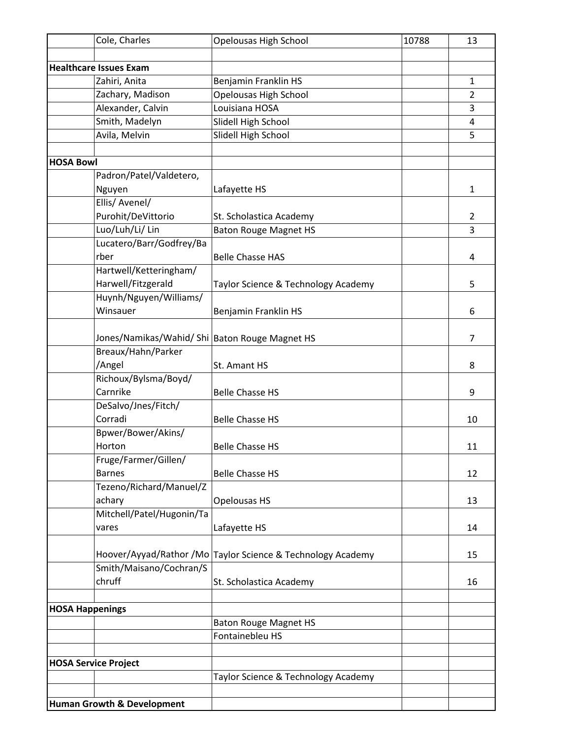|                  | Cole, Charles                                    | Opelousas High School               | 10788 | 13             |
|------------------|--------------------------------------------------|-------------------------------------|-------|----------------|
|                  |                                                  |                                     |       |                |
|                  | <b>Healthcare Issues Exam</b>                    |                                     |       |                |
|                  | Zahiri, Anita                                    | Benjamin Franklin HS                |       | $\mathbf{1}$   |
|                  | Zachary, Madison                                 | Opelousas High School               |       | $\overline{2}$ |
|                  | Alexander, Calvin                                | Louisiana HOSA                      |       | 3              |
|                  | Smith, Madelyn                                   | Slidell High School                 |       | $\overline{4}$ |
|                  | Avila, Melvin                                    | Slidell High School                 |       | 5              |
|                  |                                                  |                                     |       |                |
| <b>HOSA Bowl</b> |                                                  |                                     |       |                |
|                  | Padron/Patel/Valdetero,                          |                                     |       |                |
|                  | Nguyen                                           | Lafayette HS                        |       | $\mathbf{1}$   |
|                  | Ellis/ Avenel/                                   |                                     |       |                |
|                  | Purohit/DeVittorio                               | St. Scholastica Academy             |       | $\overline{2}$ |
|                  | Luo/Luh/Li/ Lin                                  | <b>Baton Rouge Magnet HS</b>        |       | 3              |
|                  | Lucatero/Barr/Godfrey/Ba                         |                                     |       |                |
|                  | rber                                             | <b>Belle Chasse HAS</b>             |       | 4              |
|                  | Hartwell/Ketteringham/                           |                                     |       |                |
|                  | Harwell/Fitzgerald                               | Taylor Science & Technology Academy |       | 5              |
|                  | Huynh/Nguyen/Williams/                           |                                     |       |                |
|                  | Winsauer                                         | Benjamin Franklin HS                |       | 6              |
|                  |                                                  |                                     |       |                |
|                  | Jones/Namikas/Wahid/ Shi   Baton Rouge Magnet HS |                                     |       | $\overline{7}$ |
|                  | Breaux/Hahn/Parker                               |                                     |       |                |
|                  | /Angel                                           | St. Amant HS                        |       | 8              |
|                  | Richoux/Bylsma/Boyd/                             |                                     |       |                |
|                  | Carnrike                                         | <b>Belle Chasse HS</b>              |       | 9              |
|                  | DeSalvo/Jnes/Fitch/                              |                                     |       |                |
|                  | Corradi                                          | <b>Belle Chasse HS</b>              |       | 10             |
|                  | Bpwer/Bower/Akins/                               |                                     |       |                |
|                  | Horton                                           | <b>Belle Chasse HS</b>              |       | 11             |
|                  | Fruge/Farmer/Gillen/                             |                                     |       |                |
|                  | <b>Barnes</b>                                    | <b>Belle Chasse HS</b>              |       | 12             |
|                  | Tezeno/Richard/Manuel/Z                          |                                     |       |                |
|                  | achary                                           | Opelousas HS                        |       | 13             |
|                  | Mitchell/Patel/Hugonin/Ta                        |                                     |       |                |
|                  | vares                                            | Lafayette HS                        |       | 14             |
|                  |                                                  |                                     |       |                |
|                  | Hoover/Ayyad/Rathor/Mo                           | Taylor Science & Technology Academy |       | 15             |
|                  | Smith/Maisano/Cochran/S                          |                                     |       |                |
|                  | chruff                                           | St. Scholastica Academy             |       | 16             |
|                  | <b>HOSA Happenings</b>                           |                                     |       |                |
|                  |                                                  | <b>Baton Rouge Magnet HS</b>        |       |                |
|                  |                                                  | Fontainebleu HS                     |       |                |
|                  |                                                  |                                     |       |                |
|                  | <b>HOSA Service Project</b>                      |                                     |       |                |
|                  |                                                  | Taylor Science & Technology Academy |       |                |
|                  |                                                  |                                     |       |                |
|                  | <b>Human Growth &amp; Development</b>            |                                     |       |                |
|                  |                                                  |                                     |       |                |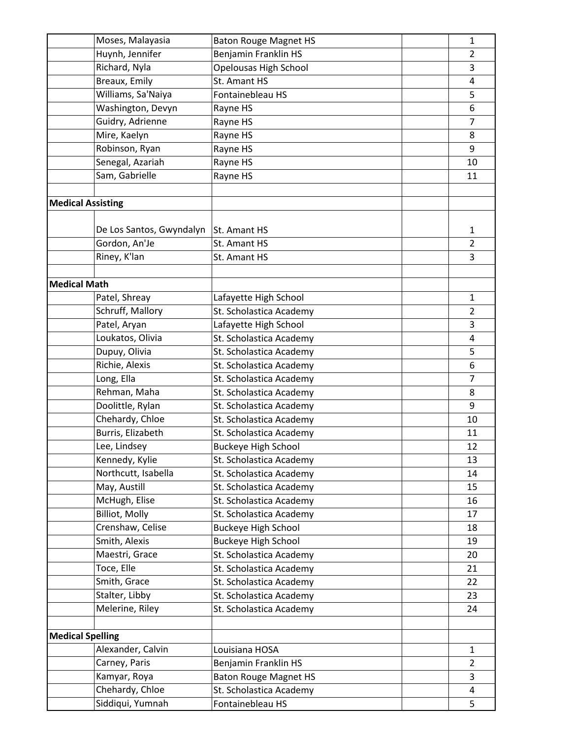| Moses, Malayasia             | <b>Baton Rouge Magnet HS</b>                          | $\mathbf{1}$   |
|------------------------------|-------------------------------------------------------|----------------|
| Huynh, Jennifer              | Benjamin Franklin HS                                  | $\overline{2}$ |
| Richard, Nyla                | Opelousas High School                                 | 3              |
| Breaux, Emily                | St. Amant HS                                          | 4              |
| Williams, Sa'Naiya           | Fontainebleau HS                                      | 5              |
| Washington, Devyn            | Rayne HS                                              | 6              |
| Guidry, Adrienne             | Rayne HS                                              | $\overline{7}$ |
| Mire, Kaelyn                 | Rayne HS                                              | 8              |
| Robinson, Ryan               | Rayne HS                                              | 9              |
| Senegal, Azariah             | Rayne HS                                              | 10             |
| Sam, Gabrielle               | Rayne HS                                              | 11             |
|                              |                                                       |                |
| <b>Medical Assisting</b>     |                                                       |                |
|                              |                                                       |                |
| De Los Santos, Gwyndalyn     | St. Amant HS                                          | 1              |
| Gordon, An'Je                | St. Amant HS                                          | $\overline{2}$ |
| Riney, K'lan                 | St. Amant HS                                          | 3              |
|                              |                                                       |                |
| <b>Medical Math</b>          |                                                       |                |
| Patel, Shreay                | Lafayette High School                                 | 1              |
| Schruff, Mallory             | St. Scholastica Academy                               | $\overline{2}$ |
| Patel, Aryan                 | Lafayette High School                                 | 3              |
| Loukatos, Olivia             | St. Scholastica Academy                               | 4              |
| Dupuy, Olivia                | St. Scholastica Academy                               | 5              |
| Richie, Alexis               | St. Scholastica Academy                               | 6              |
| Long, Ella                   | St. Scholastica Academy                               | $\overline{7}$ |
| Rehman, Maha                 | St. Scholastica Academy                               | 8              |
| Doolittle, Rylan             | St. Scholastica Academy                               | 9              |
| Chehardy, Chloe              | St. Scholastica Academy                               | 10             |
| Burris, Elizabeth            | St. Scholastica Academy                               | 11             |
| Lee, Lindsey                 |                                                       | 12             |
| Kennedy, Kylie               | <b>Buckeye High School</b><br>St. Scholastica Academy | 13             |
| Northcutt, Isabella          |                                                       | 14             |
| May, Austill                 | St. Scholastica Academy                               |                |
| McHugh, Elise                | St. Scholastica Academy                               | 15<br>16       |
| <b>Billiot, Molly</b>        | St. Scholastica Academy                               |                |
| Crenshaw, Celise             | St. Scholastica Academy                               | 17             |
| Smith, Alexis                | <b>Buckeye High School</b>                            | 18             |
|                              | <b>Buckeye High School</b>                            | 19             |
| Maestri, Grace<br>Toce, Elle | St. Scholastica Academy                               | 20             |
|                              | St. Scholastica Academy                               | 21             |
| Smith, Grace                 | St. Scholastica Academy                               | 22             |
| Stalter, Libby               | St. Scholastica Academy                               | 23             |
| Melerine, Riley              | St. Scholastica Academy                               | 24             |
|                              |                                                       |                |
| <b>Medical Spelling</b>      |                                                       |                |
| Alexander, Calvin            | Louisiana HOSA                                        | $\mathbf{1}$   |
| Carney, Paris                | Benjamin Franklin HS                                  | $\overline{2}$ |
| Kamyar, Roya                 | <b>Baton Rouge Magnet HS</b>                          | 3              |
| Chehardy, Chloe              | St. Scholastica Academy                               | 4              |
| Siddiqui, Yumnah             | Fontainebleau HS                                      | 5              |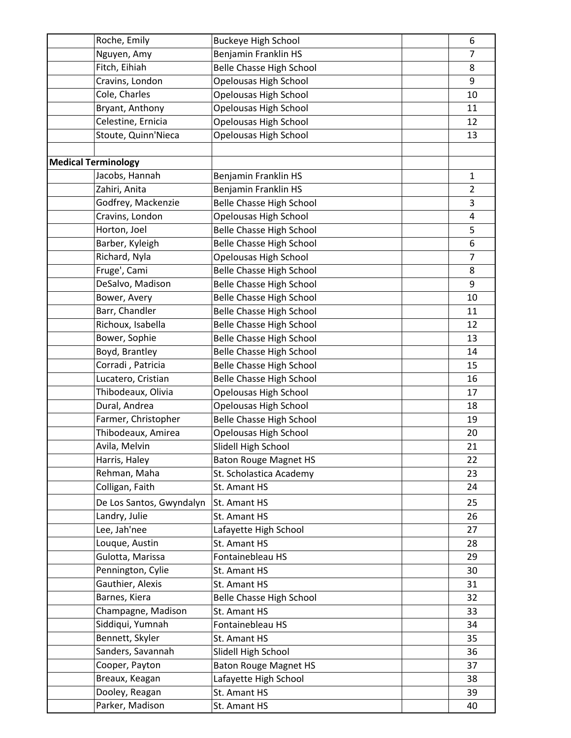| Roche, Emily               | <b>Buckeye High School</b>      | 6              |
|----------------------------|---------------------------------|----------------|
| Nguyen, Amy                | Benjamin Franklin HS            | 7              |
| Fitch, Eihiah              | <b>Belle Chasse High School</b> | 8              |
| Cravins, London            | Opelousas High School           | 9              |
| Cole, Charles              | Opelousas High School           | 10             |
| Bryant, Anthony            | Opelousas High School           | 11             |
| Celestine, Ernicia         | <b>Opelousas High School</b>    | 12             |
| Stoute, Quinn'Nieca        | Opelousas High School           | 13             |
|                            |                                 |                |
| <b>Medical Terminology</b> |                                 |                |
| Jacobs, Hannah             | Benjamin Franklin HS            | $\mathbf{1}$   |
| Zahiri, Anita              | Benjamin Franklin HS            | $\overline{2}$ |
| Godfrey, Mackenzie         | <b>Belle Chasse High School</b> | 3              |
| Cravins, London            | Opelousas High School           | 4              |
| Horton, Joel               | <b>Belle Chasse High School</b> | 5              |
| Barber, Kyleigh            | <b>Belle Chasse High School</b> | 6              |
| Richard, Nyla              | Opelousas High School           | $\overline{7}$ |
| Fruge', Cami               | <b>Belle Chasse High School</b> | 8              |
| DeSalvo, Madison           | Belle Chasse High School        | 9              |
| Bower, Avery               | <b>Belle Chasse High School</b> | 10             |
| Barr, Chandler             | <b>Belle Chasse High School</b> | 11             |
| Richoux, Isabella          | <b>Belle Chasse High School</b> | 12             |
| Bower, Sophie              | <b>Belle Chasse High School</b> | 13             |
| Boyd, Brantley             | <b>Belle Chasse High School</b> | 14             |
| Corradi, Patricia          | <b>Belle Chasse High School</b> | 15             |
| Lucatero, Cristian         | <b>Belle Chasse High School</b> | 16             |
| Thibodeaux, Olivia         | Opelousas High School           | 17             |
| Dural, Andrea              | Opelousas High School           | 18             |
| Farmer, Christopher        | <b>Belle Chasse High School</b> | 19             |
| Thibodeaux, Amirea         | Opelousas High School           | 20             |
| Avila, Melvin              | Slidell High School             | 21             |
| Harris, Haley              | <b>Baton Rouge Magnet HS</b>    | 22             |
| Rehman, Maha               | St. Scholastica Academy         | 23             |
| Colligan, Faith            | St. Amant HS                    | 24             |
| De Los Santos, Gwyndalyn   | St. Amant HS                    | 25             |
| Landry, Julie              | St. Amant HS                    | 26             |
| Lee, Jah'nee               | Lafayette High School           | 27             |
| Louque, Austin             | St. Amant HS                    | 28             |
| Gulotta, Marissa           | Fontainebleau HS                | 29             |
| Pennington, Cylie          | St. Amant HS                    | 30             |
| Gauthier, Alexis           | St. Amant HS                    | 31             |
| Barnes, Kiera              | Belle Chasse High School        | 32             |
| Champagne, Madison         | St. Amant HS                    |                |
| Siddiqui, Yumnah           | Fontainebleau HS                | 33<br>34       |
| Bennett, Skyler            | St. Amant HS                    |                |
| Sanders, Savannah          | Slidell High School             | 35<br>36       |
| Cooper, Payton             | <b>Baton Rouge Magnet HS</b>    | 37             |
| Breaux, Keagan             | Lafayette High School           | 38             |
| Dooley, Reagan             | St. Amant HS                    | 39             |
| Parker, Madison            | St. Amant HS                    | 40             |
|                            |                                 |                |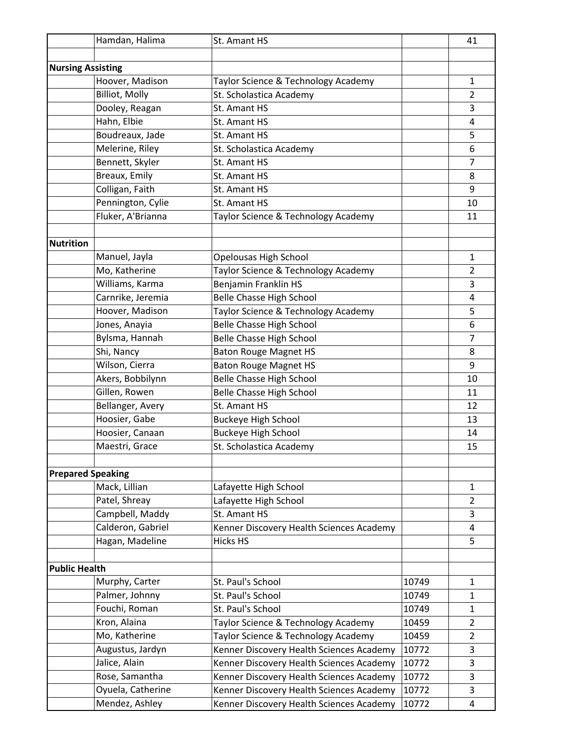|                          | Hamdan, Halima                    | St. Amant HS                                                                         |                | 41                             |
|--------------------------|-----------------------------------|--------------------------------------------------------------------------------------|----------------|--------------------------------|
|                          |                                   |                                                                                      |                |                                |
| <b>Nursing Assisting</b> |                                   |                                                                                      |                |                                |
|                          | Hoover, Madison                   | Taylor Science & Technology Academy                                                  |                | $\mathbf{1}$                   |
|                          | <b>Billiot, Molly</b>             | St. Scholastica Academy                                                              |                | $\overline{2}$                 |
|                          | Dooley, Reagan                    | St. Amant HS                                                                         |                | 3                              |
|                          | Hahn, Elbie                       | St. Amant HS                                                                         |                | 4                              |
|                          | Boudreaux, Jade                   | St. Amant HS                                                                         |                | 5                              |
|                          | Melerine, Riley                   | St. Scholastica Academy                                                              |                | 6                              |
|                          | Bennett, Skyler                   | St. Amant HS                                                                         |                | 7                              |
|                          | Breaux, Emily                     | St. Amant HS                                                                         |                | 8                              |
|                          | Colligan, Faith                   | St. Amant HS                                                                         |                | 9                              |
|                          | Pennington, Cylie                 | St. Amant HS                                                                         |                | 10                             |
|                          | Fluker, A'Brianna                 | Taylor Science & Technology Academy                                                  |                | 11                             |
|                          |                                   |                                                                                      |                |                                |
| <b>Nutrition</b>         |                                   |                                                                                      |                |                                |
|                          | Manuel, Jayla                     | Opelousas High School                                                                |                | $\mathbf{1}$                   |
|                          | Mo, Katherine                     | Taylor Science & Technology Academy                                                  |                | $\overline{2}$                 |
|                          | Williams, Karma                   | Benjamin Franklin HS                                                                 |                | 3                              |
|                          | Carnrike, Jeremia                 | <b>Belle Chasse High School</b>                                                      |                | 4                              |
|                          | Hoover, Madison                   | Taylor Science & Technology Academy                                                  |                | 5                              |
|                          | Jones, Anayia                     | <b>Belle Chasse High School</b>                                                      |                | 6                              |
|                          | Bylsma, Hannah                    | <b>Belle Chasse High School</b>                                                      |                | 7                              |
|                          | Shi, Nancy                        | <b>Baton Rouge Magnet HS</b>                                                         |                | 8                              |
|                          | Wilson, Cierra                    | <b>Baton Rouge Magnet HS</b>                                                         |                | 9                              |
|                          | Akers, Bobbilynn                  | <b>Belle Chasse High School</b>                                                      |                | 10                             |
|                          | Gillen, Rowen                     | <b>Belle Chasse High School</b>                                                      |                | 11                             |
|                          | Bellanger, Avery                  | St. Amant HS                                                                         |                | 12                             |
|                          | Hoosier, Gabe                     | <b>Buckeye High School</b>                                                           |                | 13                             |
|                          | Hoosier, Canaan                   | <b>Buckeye High School</b>                                                           |                | 14                             |
|                          | Maestri, Grace                    | St. Scholastica Academy                                                              |                | 15                             |
|                          |                                   |                                                                                      |                |                                |
| <b>Prepared Speaking</b> | Mack, Lillian                     |                                                                                      |                |                                |
|                          | Patel, Shreay                     | Lafayette High School                                                                |                | $\mathbf{1}$<br>$\overline{2}$ |
|                          | Campbell, Maddy                   | Lafayette High School<br>St. Amant HS                                                |                |                                |
|                          | Calderon, Gabriel                 |                                                                                      |                | 3                              |
|                          |                                   | Kenner Discovery Health Sciences Academy<br><b>Hicks HS</b>                          |                | 4<br>5                         |
|                          | Hagan, Madeline                   |                                                                                      |                |                                |
| <b>Public Health</b>     |                                   |                                                                                      |                |                                |
|                          |                                   | St. Paul's School                                                                    | 10749          |                                |
|                          | Murphy, Carter<br>Palmer, Johnny  |                                                                                      |                | $\mathbf{1}$                   |
|                          | Fouchi, Roman                     | St. Paul's School<br>St. Paul's School                                               | 10749<br>10749 | $\mathbf{1}$                   |
|                          | Kron, Alaina                      |                                                                                      |                | $\mathbf{1}$<br>$\overline{2}$ |
|                          |                                   | Taylor Science & Technology Academy                                                  | 10459          |                                |
|                          | Mo, Katherine<br>Augustus, Jardyn | Taylor Science & Technology Academy                                                  | 10459          | $\overline{2}$                 |
|                          | Jalice, Alain                     | Kenner Discovery Health Sciences Academy                                             | 10772<br>10772 | 3<br>3                         |
|                          | Rose, Samantha                    | Kenner Discovery Health Sciences Academy                                             | 10772          | 3                              |
|                          | Oyuela, Catherine                 | Kenner Discovery Health Sciences Academy                                             | 10772          | 3                              |
|                          | Mendez, Ashley                    | Kenner Discovery Health Sciences Academy<br>Kenner Discovery Health Sciences Academy | 10772          | 4                              |
|                          |                                   |                                                                                      |                |                                |